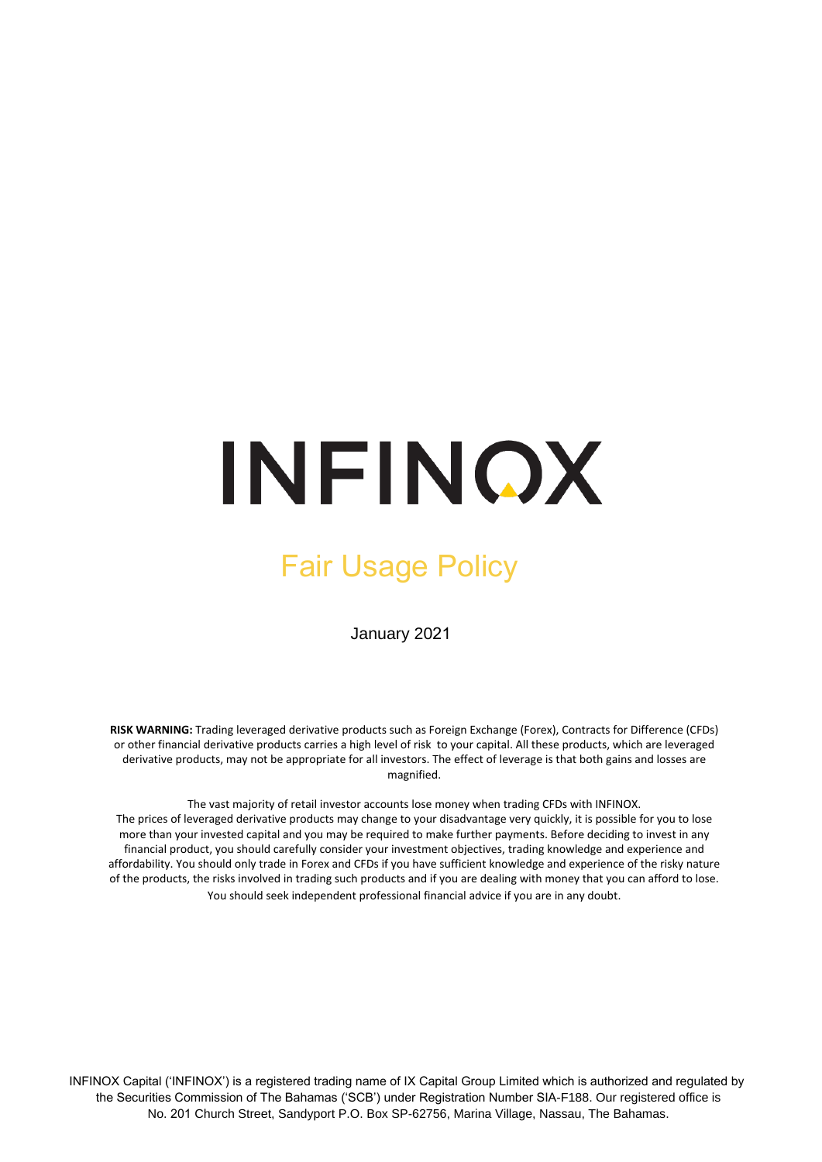## INFINOX

## Fair Usage Policy

January 2021

**RISK WARNING:** Trading leveraged derivative products such as Foreign Exchange (Forex), Contracts for Difference (CFDs) or other financial derivative products carries a high level of risk to your capital. All these products, which are leveraged derivative products, may not be appropriate for all investors. The effect of leverage is that both gains and losses are magnified.

The vast majority of retail investor accounts lose money when trading CFDs with INFINOX. The prices of leveraged derivative products may change to your disadvantage very quickly, it is possible for you to lose more than your invested capital and you may be required to make further payments. Before deciding to invest in any financial product, you should carefully consider your investment objectives, trading knowledge and experience and affordability. You should only trade in Forex and CFDs if you have sufficient knowledge and experience of the risky nature of the products, the risks involved in trading such products and if you are dealing with money that you can afford to lose. You should seek independent professional financial advice if you are in any doubt.

INFINOX Capital ('INFINOX') is a registered trading name of IX Capital Group Limited which is authorized and regulated by the Securities Commission of The Bahamas ('SCB') under Registration Number SIA-F188. Our registered office is No. 201 Church Street, Sandyport P.O. Box SP-62756, Marina Village, Nassau, The Bahamas.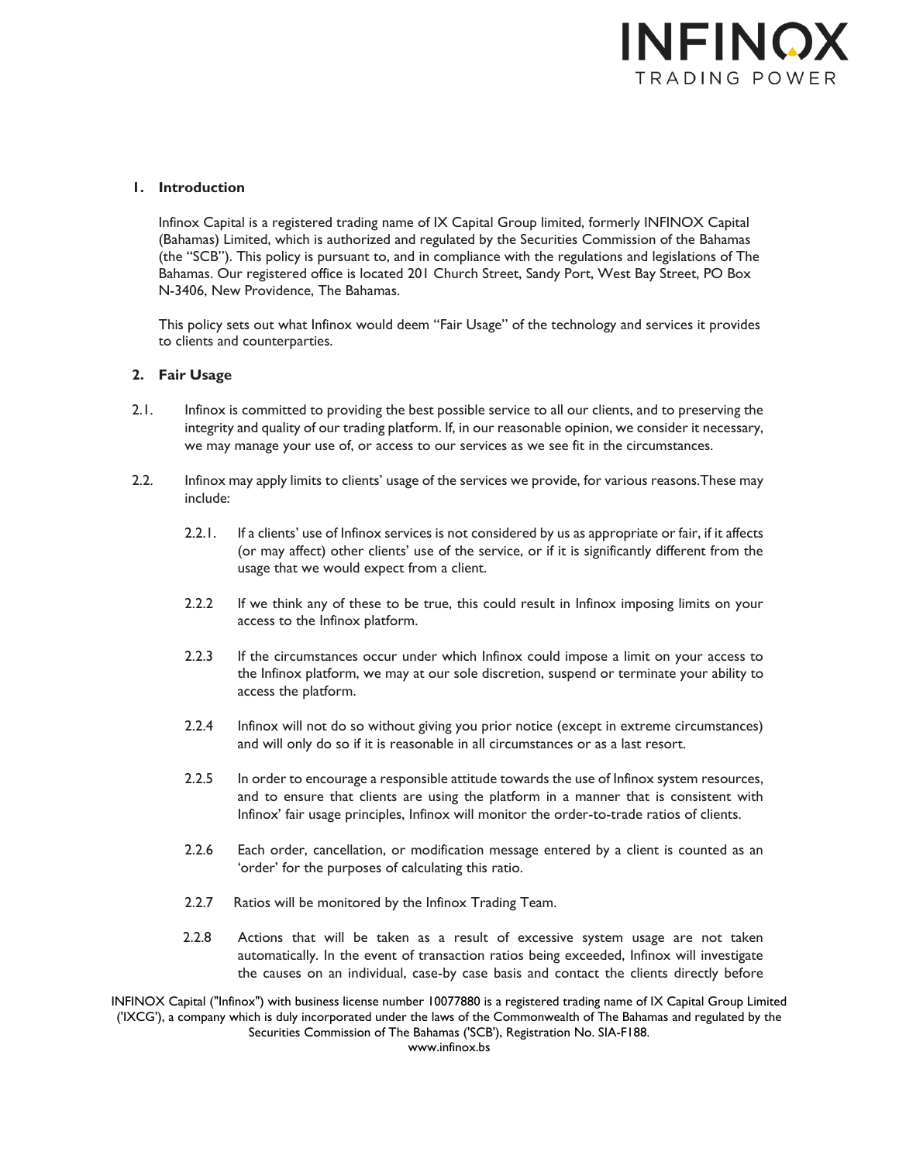

## **1. Introduction**

Infinox Capital is a registered trading name of IX Capital Group limited, formerly INFINOX Capital (Bahamas) Limited, which is authorized and regulated by the Securities Commission of the Bahamas (the "SCB"). This policy is pursuant to, and in compliance with the regulations and legislations of The Bahamas. Our registered office is located 201 Church Street, Sandy Port, West Bay Street, PO Box N-3406, New Providence, The Bahamas.

This policy sets out what Infinox would deem "Fair Usage" of the technology and services it provides to clients and counterparties.

## **2. Fair Usage**

- 2.1. Infinox is committed to providing the best possible service to all our clients, and to preserving the integrity and quality of our trading platform. If, in our reasonable opinion, we consider it necessary, we may manage your use of, or access to our services as we see fit in the circumstances.
- 2.2. Infinox may apply limits to clients' usage of the services we provide, for various reasons.These may include:
	- 2.2.1. If a clients' use of Infinox services is not considered by us as appropriate or fair, if it affects (or may affect) other clients' use of the service, or if it is significantly different from the usage that we would expect from a client.
	- 2.2.2 If we think any of these to be true, this could result in Infinox imposing limits on your access to the Infinox platform.
	- 2.2.3 If the circumstances occur under which Infinox could impose a limit on your access to the Infinox platform, we may at our sole discretion, suspend or terminate your ability to access the platform.
	- 2.2.4 Infinox will not do so without giving you prior notice (except in extreme circumstances) and will only do so if it is reasonable in all circumstances or as a last resort.
	- 2.2.5 In order to encourage a responsible attitude towards the use of Infinox system resources, and to ensure that clients are using the platform in a manner that is consistent with Infinox' fair usage principles, Infinox will monitor the order-to-trade ratios of clients.
	- 2.2.6 Each order, cancellation, or modification message entered by a client is counted as an 'order' for the purposes of calculating this ratio.
	- 2.2.7 Ratios will be monitored by the Infinox Trading Team.
	- 2.2.8 Actions that will be taken as a result of excessive system usage are not taken automatically. In the event of transaction ratios being exceeded, Infinox will investigate the causes on an individual, case-by case basis and contact the clients directly before

INFINOX Capital ("Infinox") with business license number 10077880 is a registered trading name of IX Capital Group Limited ('IXCG'), a company which is duly incorporated under the laws of the Commonwealth of The Bahamas and regulated by the Securities Commission of The Bahamas ('SCB'), Registration No. SIA-F188.

www.infinox.bs